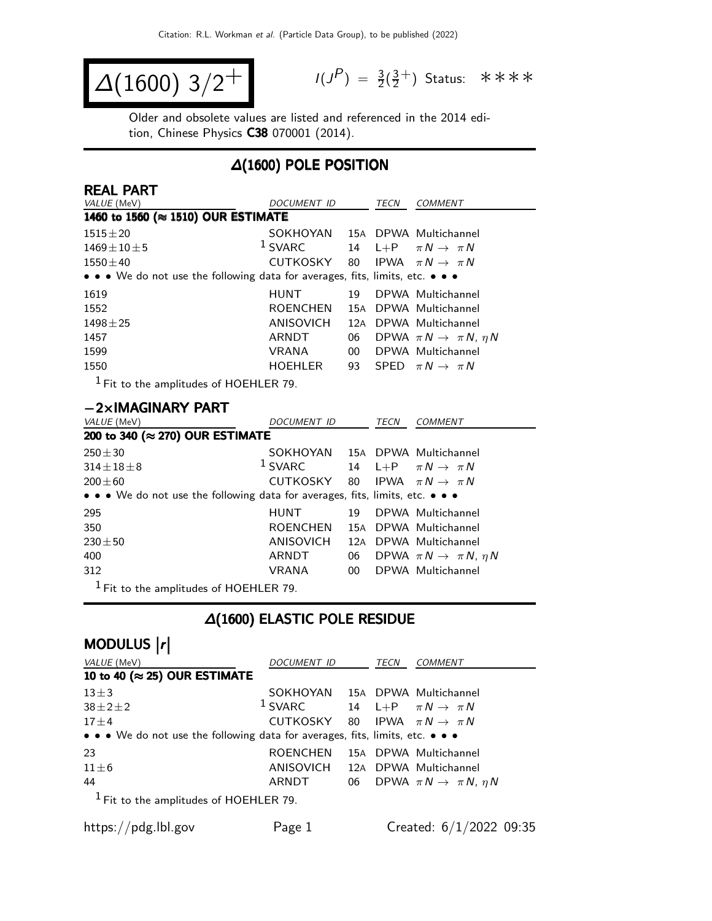$$
\Delta(1600) 3/2^+ \qquad \qquad ^{\frac{1}{3}}
$$

 $P$ ) =  $\frac{3}{2}(\frac{3}{2})$  $\frac{3}{2}^+$ ) Status: \*\*\*\*

Older and obsolete values are listed and referenced in the 2014 edition, Chinese Physics C38 070001 (2014).

### ∆(1600) POLE POSITION

| <b>REAL PART</b>                                                                                                      |                                                     |                 |      |                                           |
|-----------------------------------------------------------------------------------------------------------------------|-----------------------------------------------------|-----------------|------|-------------------------------------------|
| VALUE (MeV)                                                                                                           | <b>DOCUMENT ID</b>                                  |                 | TECN | <b>COMMENT</b>                            |
| 1460 to 1560 (≈ 1510) OUR ESTIMATE                                                                                    |                                                     |                 |      |                                           |
| $1515 \pm 20$                                                                                                         | SOKHOYAN 15A DPWA Multichannel                      |                 |      |                                           |
| $1469 \pm 10 \pm 5$                                                                                                   | <sup>1</sup> SVARC 14 L+P $\pi N \rightarrow \pi N$ |                 |      |                                           |
| $1550 \pm 40$                                                                                                         | CUTKOSKY                                            | 80              |      | IPWA $\pi N \rightarrow \pi N$            |
| $\bullet \bullet \bullet$ We do not use the following data for averages, fits, limits, etc. $\bullet \bullet \bullet$ |                                                     |                 |      |                                           |
| 1619                                                                                                                  | HUNT                                                | 19              |      | DPWA Multichannel                         |
| 1552                                                                                                                  | <b>ROENCHEN</b>                                     |                 |      | 15A DPWA Multichannel                     |
| $1498 \pm 25$                                                                                                         | ANISOVICH                                           |                 |      | 12A DPWA Multichannel                     |
| 1457                                                                                                                  | ARNDT                                               | 06              |      | DPWA $\pi N \rightarrow \pi N$ , $\eta N$ |
| 1599                                                                                                                  | <b>VRANA</b>                                        | 00 <sup>°</sup> |      | DPWA Multichannel                         |
| 1550                                                                                                                  | <b>HOEHLER</b>                                      | 93              |      | SPFD $\pi N \rightarrow \pi N$            |
| $1 -$                                                                                                                 |                                                     |                 |      |                                           |

1 Fit to the amplitudes of HOEHLER 79.

#### −2×IMAGINARY PART

| VALUE (MeV)                                                                   | <i>DOCUMENT ID</i>                         |    | TECN | <b>COMMENT</b>                            |  |  |  |  |  |
|-------------------------------------------------------------------------------|--------------------------------------------|----|------|-------------------------------------------|--|--|--|--|--|
|                                                                               | 200 to 340 (≈ 270) OUR ESTIMATE            |    |      |                                           |  |  |  |  |  |
| $250 \pm 30$                                                                  | SOKHOYAN 15A DPWA Multichannel             |    |      |                                           |  |  |  |  |  |
| $314 \pm 18 \pm 8$                                                            | $1$ SVARC                                  |    |      | 14 L+P $\pi N \rightarrow \pi N$          |  |  |  |  |  |
| $200 \pm 60$                                                                  | CUTKOSKY 80 IPWA $\pi N \rightarrow \pi N$ |    |      |                                           |  |  |  |  |  |
| • • • We do not use the following data for averages, fits, limits, etc. • • • |                                            |    |      |                                           |  |  |  |  |  |
| 295                                                                           | HUNT                                       | 19 |      | DPWA Multichannel                         |  |  |  |  |  |
| 350                                                                           | ROENCHEN                                   |    |      | 15A DPWA Multichannel                     |  |  |  |  |  |
| $230 \pm 50$                                                                  | ANISOVICH                                  |    |      | 12A DPWA Multichannel                     |  |  |  |  |  |
| 400                                                                           | ARNDT                                      | 06 |      | DPWA $\pi N \rightarrow \pi N$ , $\eta N$ |  |  |  |  |  |
| 312                                                                           | VRANA                                      | 00 |      | DPWA Multichannel                         |  |  |  |  |  |
|                                                                               |                                            |    |      |                                           |  |  |  |  |  |

 $<sup>1</sup>$  Fit to the amplitudes of HOEHLER 79.</sup>

### ∆(1600) ELASTIC POLE RESIDUE

# MODULUS  $\vert r \vert$

| <i>VALUE</i> (MeV)                                                            | DOCUMENT ID                                         | TECN | <b>COMMENT</b>                               |
|-------------------------------------------------------------------------------|-----------------------------------------------------|------|----------------------------------------------|
| 10 to 40 ( $\approx$ 25) OUR ESTIMATE                                         |                                                     |      |                                              |
| $13\pm3$                                                                      | SOKHOYAN 15A DPWA Multichannel                      |      |                                              |
| $38 \pm 2 \pm 2$                                                              | <sup>1</sup> SVARC 14 L+P $\pi N \rightarrow \pi N$ |      |                                              |
| $17 \pm 4$                                                                    | CUTKOSKY 80 IPWA $\pi N \rightarrow \pi N$          |      |                                              |
| • • • We do not use the following data for averages, fits, limits, etc. • • • |                                                     |      |                                              |
| 23                                                                            | ROENCHEN                                            |      | 15A DPWA Multichannel                        |
| $11\pm 6$                                                                     | ANISOVICH 12A DPWA Multichannel                     |      |                                              |
| 44                                                                            | ARNDT                                               |      | 06 DPWA $\pi N \rightarrow \pi N$ , $\eta N$ |
| $1$ Fit to the amplitudes of HOEHLER 79.                                      |                                                     |      |                                              |
|                                                                               |                                                     |      |                                              |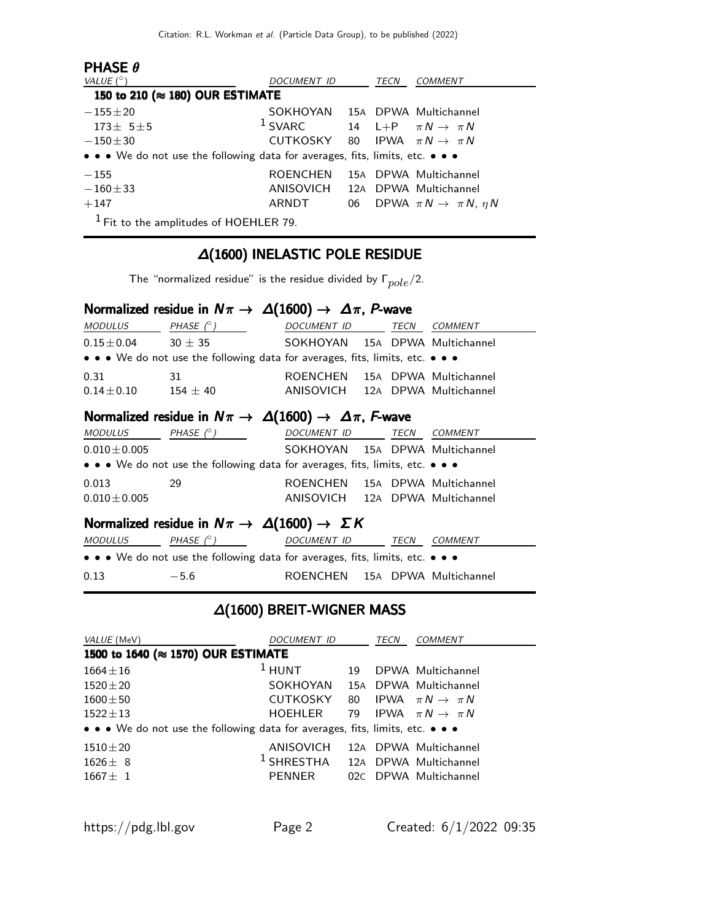| <b>PHASE <math>\theta</math></b><br>VALUE $(^\circ)$                          | DOCUMENT ID                     |    | TECN | <b>COMMENT</b>                            |
|-------------------------------------------------------------------------------|---------------------------------|----|------|-------------------------------------------|
| 150 to 210 (≈ 180) OUR ESTIMATE                                               |                                 |    |      |                                           |
| $-155 \pm 20$                                                                 | SOKHOYAN 15A DPWA Multichannel  |    |      |                                           |
| $173 + 5 + 5$                                                                 | $1$ SVARC                       |    |      | 14 L+P $\pi N \rightarrow \pi N$          |
| $-150+30$                                                                     | CUTKOSKY                        |    |      | 80 IPWA $\pi N \rightarrow \pi N$         |
| • • • We do not use the following data for averages, fits, limits, etc. • • • |                                 |    |      |                                           |
| $-155$                                                                        | ROENCHEN                        |    |      | 15A DPWA Multichannel                     |
| $-160 + 33$                                                                   | ANISOVICH 12A DPWA Multichannel |    |      |                                           |
| $+147$                                                                        | ARNDT                           | 06 |      | DPWA $\pi N \rightarrow \pi N$ , $\eta N$ |
| $1$ Fit to the amplitudes of HOEHLER 79.                                      |                                 |    |      |                                           |

#### ∆(1600) INELASTIC POLE RESIDUE

The "normalized residue" is the residue divided by  $\Gamma_{pole}/2$ .

### Normalized residue in  $N\pi \to \Delta(1600) \to \Delta\pi$ , P-wave

| <i>MODULUS</i>                                                                                                        | PHASE $(^\circ)$ | <b>DOCUMENT ID</b>             | TECN | COMMENT               |  |  |  |  |
|-----------------------------------------------------------------------------------------------------------------------|------------------|--------------------------------|------|-----------------------|--|--|--|--|
| $0.15\pm0.04$                                                                                                         | $30 + 35$        | SOKHOYAN 15A DPWA Multichannel |      |                       |  |  |  |  |
| $\bullet \bullet \bullet$ We do not use the following data for averages, fits, limits, etc. $\bullet \bullet \bullet$ |                  |                                |      |                       |  |  |  |  |
| 0.31                                                                                                                  | -31              | ROENCHEN                       |      | 15A DPWA Multichannel |  |  |  |  |
| $0.14\pm0.10$                                                                                                         | $154 \pm 40$     | ANISOVICH                      |      | 12A DPWA Multichannel |  |  |  |  |

### Normalized residue in  $N\pi \to \Delta(1600) \to \Delta\pi$ , F-wave

| <i>MODULUS</i>    | PHASE $(^\circ)$                                                              | DOCUMENT ID                     | TECN | <i>COMMENT</i> |
|-------------------|-------------------------------------------------------------------------------|---------------------------------|------|----------------|
| $0.010 \pm 0.005$ |                                                                               | SOKHOYAN 15A DPWA Multichannel  |      |                |
|                   | • • • We do not use the following data for averages, fits, limits, etc. • • • |                                 |      |                |
| 0.013             | 29                                                                            | ROENCHEN 15A DPWA Multichannel  |      |                |
| $0.010 \pm 0.005$ |                                                                               | ANISOVICH 12A DPWA Multichannel |      |                |
|                   |                                                                               |                                 |      |                |

#### Normalized residue in  $N\pi \to \Delta(1600) \to \Sigma K$

| <i>MODULUS</i> | PHASE $(^\circ)$                                                              | DOCUMENT ID                    | TECN | <i>COMMENT</i> |
|----------------|-------------------------------------------------------------------------------|--------------------------------|------|----------------|
|                | • • • We do not use the following data for averages, fits, limits, etc. • • • |                                |      |                |
| 0.13           | $-5.6$                                                                        | ROENCHEN 15A DPWA Multichannel |      |                |

### ∆(1600) BREIT-WIGNER MASS

| VALUE (MeV)                                                                   | <i>DOCUMENT ID</i>                          |    | TECN | COMMENT                        |  |  |  |  |
|-------------------------------------------------------------------------------|---------------------------------------------|----|------|--------------------------------|--|--|--|--|
| 1500 to 1640 (≈ 1570) OUR ESTIMATE                                            |                                             |    |      |                                |  |  |  |  |
| $1664 \pm 16$                                                                 | $1$ HUNT                                    | 19 |      | DPWA Multichannel              |  |  |  |  |
| $1520 + 20$                                                                   | SOKHOYAN                                    |    |      | 15A DPWA Multichannel          |  |  |  |  |
| $1600 \pm 50$                                                                 | CUTKOSKY 80                                 |    |      | IPWA $\pi N \rightarrow \pi N$ |  |  |  |  |
| $1522 \pm 13$                                                                 | HOEHLER                                     | 79 |      | IPWA $\pi N \rightarrow \pi N$ |  |  |  |  |
| • • • We do not use the following data for averages, fits, limits, etc. • • • |                                             |    |      |                                |  |  |  |  |
| $1510 \pm 20$                                                                 | ANISOVICH                                   |    |      | 12A DPWA Multichannel          |  |  |  |  |
| $1626 + 8$                                                                    | <sup>1</sup> SHRESTHA 12A DPWA Multichannel |    |      |                                |  |  |  |  |
| $1667 \pm 1$                                                                  | <b>PFNNFR</b>                               |    |      | 02C DPWA Multichannel          |  |  |  |  |
|                                                                               |                                             |    |      |                                |  |  |  |  |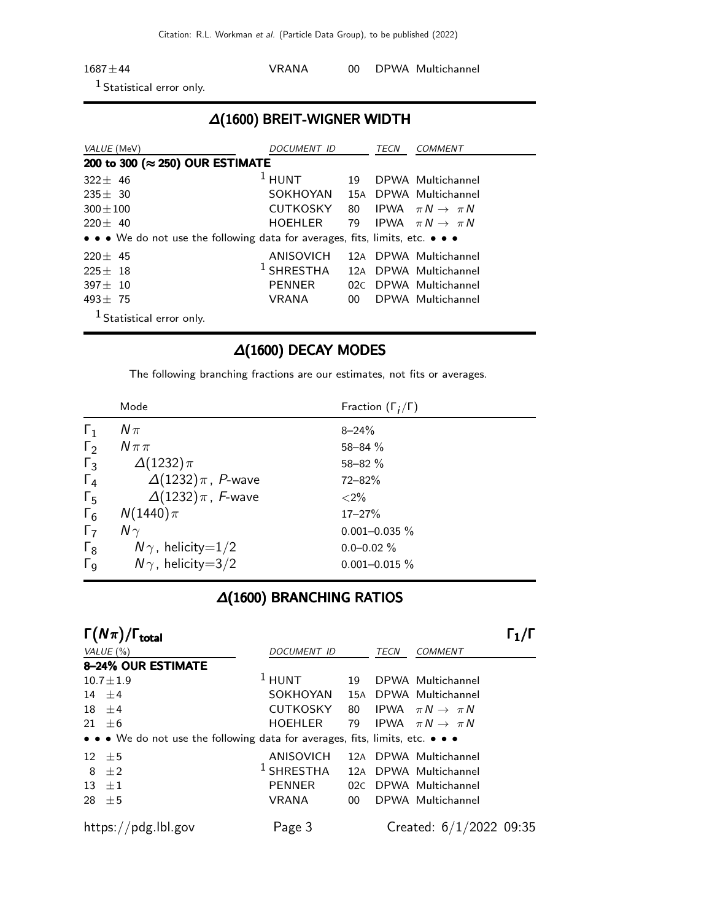Citation: R.L. Workman et al. (Particle Data Group), to be published (2022)

| $1687 \pm 44$               | VRANA |  | 00 DPWA Multichannel |
|-----------------------------|-------|--|----------------------|
| $\Gamma$ Cratical and anti- |       |  |                      |

Statistical error only.

### ∆(1600) BREIT-WIGNER WIDTH

| VALUE (MeV)                                                                   | <i>DOCUMENT ID</i>             |                 | TECN | <i>COMMENT</i>                    |
|-------------------------------------------------------------------------------|--------------------------------|-----------------|------|-----------------------------------|
| 200 to 300 (≈ 250) OUR ESTIMATE                                               |                                |                 |      |                                   |
| $322 + 46$                                                                    | $1$ HUNT                       | 19              |      | DPWA Multichannel                 |
| $235 + 30$                                                                    | SOKHOYAN 15A DPWA Multichannel |                 |      |                                   |
| $300 + 100$                                                                   | CUTKOSKY                       |                 |      | 80 IPWA $\pi N \rightarrow \pi N$ |
| $220 + 40$                                                                    | HOEHLER                        |                 |      | 79 IPWA $\pi N \rightarrow \pi N$ |
| • • • We do not use the following data for averages, fits, limits, etc. • • • |                                |                 |      |                                   |
| $220 \pm 45$                                                                  | ANISOVICH                      |                 |      | 12A DPWA Multichannel             |
| $225 + 18$                                                                    | $^1$ SHRESTHA                  |                 |      | 12A DPWA Multichannel             |
| $397 + 10$                                                                    | <b>PENNER</b>                  |                 |      | 02C DPWA Multichannel             |
| $493 + 75$                                                                    | VRANA                          | 00 <sup>1</sup> |      | DPWA Multichannel                 |
| $1$ Statistical error only.                                                   |                                |                 |      |                                   |

### ∆(1600) DECAY MODES

The following branching fractions are our estimates, not fits or averages.

|                       | Mode                       | Fraction $(\Gamma_i/\Gamma)$ |  |
|-----------------------|----------------------------|------------------------------|--|
| $\Gamma_1$            | $N\pi$                     | $8 - 24%$                    |  |
| $\Gamma_2$            | $N \pi \pi$                | $58 - 84%$                   |  |
| $\Gamma_3$            | $\Delta(1232)\pi$          | $58 - 82 \%$                 |  |
| $\Gamma_4$            | $\Delta(1232)\pi$ , P-wave | $72 - 82%$                   |  |
| $\Gamma_5$            | $\Delta(1232)\pi$ , F-wave | ${<}2\%$                     |  |
| $\Gamma_6$            | $N(1440)\pi$               | $17 - 27%$                   |  |
| $\Gamma_7$            | $N\gamma$                  | $0.001 - 0.035 \%$           |  |
| $\Gamma_8$            | $N\gamma$ , helicity=1/2   | $0.0 - 0.02 \%$              |  |
| $\Gamma_{\mathsf{Q}}$ | $N\gamma$ , helicity=3/2   | $0.001 - 0.015 \%$           |  |

### ∆(1600) BRANCHING RATIOS

| $\Gamma(N\pi)/\Gamma_{\rm total}$                                             |                    |                 |      |                                   |  |
|-------------------------------------------------------------------------------|--------------------|-----------------|------|-----------------------------------|--|
| VALUE $(\% )$                                                                 | <b>DOCUMENT ID</b> |                 | TECN | <b>COMMENT</b>                    |  |
| <b>8-24% OUR ESTIMATE</b>                                                     |                    |                 |      |                                   |  |
| $10.7 \pm 1.9$                                                                | $1$ HUNT           | 19              |      | DPWA Multichannel                 |  |
| 14 $\pm$ 4                                                                    | SOKHOYAN           |                 |      | 15A DPWA Multichannel             |  |
| $18 \pm 4$                                                                    | <b>CUTKOSKY</b>    | 80              |      | IPWA $\pi N \rightarrow \pi N$    |  |
| 21 $\pm$ 6                                                                    | HOEHLER            |                 |      | 79 IPWA $\pi N \rightarrow \pi N$ |  |
| • • • We do not use the following data for averages, fits, limits, etc. • • • |                    |                 |      |                                   |  |
| $12 \pm 5$                                                                    | ANISOVICH          |                 |      | 12A DPWA Multichannel             |  |
| 8 $\pm 2$                                                                     | $^1$ SHRESTHA      |                 |      | 12A DPWA Multichannel             |  |
| $13 \pm 1$                                                                    | <b>PENNER</b>      |                 |      | 02C DPWA Multichannel             |  |
| 28 $\pm$ 5                                                                    | <b>VRANA</b>       | 00 <sup>°</sup> |      | DPWA Multichannel                 |  |
| https://pdg.lbl.gov                                                           | Page 3             |                 |      | Created: $6/1/2022$ 09:35         |  |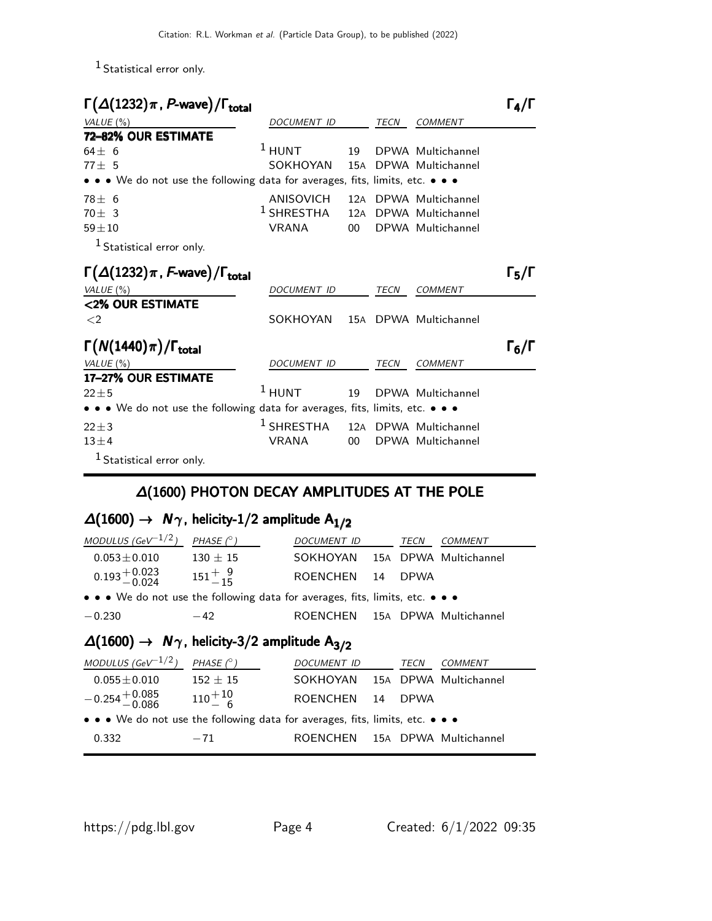1 Statistical error only.

| $\Gamma(\Delta(1232)\pi, P$ -wave)/ $\Gamma_{\rm total}$                                                              |                    |                 |             |                       | $\Gamma_4/\Gamma$ |
|-----------------------------------------------------------------------------------------------------------------------|--------------------|-----------------|-------------|-----------------------|-------------------|
| VALUE $(\%)$                                                                                                          | DOCUMENT ID        |                 | <b>TECN</b> | <b>COMMENT</b>        |                   |
| 72-82% OUR ESTIMATE                                                                                                   |                    |                 |             |                       |                   |
| $64 + 6$                                                                                                              | $1$ HUNT           | 19              |             | DPWA Multichannel     |                   |
| $77 + 5$                                                                                                              | SOKHOYAN           | 15A             |             | DPWA Multichannel     |                   |
| $\bullet \bullet \bullet$ We do not use the following data for averages, fits, limits, etc. $\bullet \bullet \bullet$ |                    |                 |             |                       |                   |
| $78 + 6$                                                                                                              | ANISOVICH          |                 |             | 12A DPWA Multichannel |                   |
| $70 + 3$                                                                                                              | $^1$ SHRESTHA      |                 |             | 12A DPWA Multichannel |                   |
| $59 + 10$                                                                                                             | <b>VRANA</b>       | $00\,$          |             | DPWA Multichannel     |                   |
| $1$ Statistical error only.                                                                                           |                    |                 |             |                       |                   |
| $\Gamma(\Delta(1232)\pi, F$ -wave)/ $\Gamma_{\text{total}}$                                                           |                    |                 |             |                       | $\Gamma_5/\Gamma$ |
| VALUE (%)                                                                                                             | DOCUMENT ID        |                 | TECN        | <b>COMMENT</b>        |                   |
| <2% OUR ESTIMATE                                                                                                      |                    |                 |             |                       |                   |
| $\langle 2$                                                                                                           | SOKHOYAN           |                 |             | 15A DPWA Multichannel |                   |
| $\Gamma(N(1440)\pi)/\Gamma_{\rm total}$                                                                               |                    |                 |             |                       | $\Gamma_6/\Gamma$ |
| VALUE $(\%)$                                                                                                          | <b>DOCUMENT ID</b> |                 | <b>TECN</b> | <b>COMMENT</b>        |                   |
| 17-27% OUR ESTIMATE                                                                                                   |                    |                 |             |                       |                   |
| $22 + 5$                                                                                                              | $1$ HUNT           | 19              |             | DPWA Multichannel     |                   |
| • • • We do not use the following data for averages, fits, limits, etc. • • •                                         |                    |                 |             |                       |                   |
| $22 + 3$                                                                                                              | $^1$ SHRESTHA      |                 |             | 12A DPWA Multichannel |                   |
| $13\pm4$                                                                                                              | <b>VRANA</b>       | 00 <sup>1</sup> |             | DPWA Multichannel     |                   |
| <sup>1</sup> Statistical error only.                                                                                  |                    |                 |             |                       |                   |

### ∆(1600) PHOTON DECAY AMPLITUDES AT THE POLE

# $\Delta(1600)$  →  $N_{\gamma}$ , helicity-1/2 amplitude  $A_{1/2}$

| $A/1600$ , $M_{\odot}$ belief $2/2$ executively $A$                           |                  |                                |  |             |                       |
|-------------------------------------------------------------------------------|------------------|--------------------------------|--|-------------|-----------------------|
| $-0.230$                                                                      | $-42$            | ROENCHEN 15A DPWA Multichannel |  |             |                       |
| • • • We do not use the following data for averages, fits, limits, etc. • • • |                  |                                |  |             |                       |
| $0.193 + 0.023$<br>$-0.024$                                                   | $151^{+9}_{-15}$ | ROENCHEN 14                    |  | <b>DPWA</b> |                       |
| $0.053 \pm 0.010$                                                             | $130 \pm 15$     | SOKHOYAN                       |  |             | 15A DPWA Multichannel |
| MODULUS (GeV <sup>-1/2</sup> )                                                | PHASE $(^\circ)$ | <i>DOCUMENT ID</i>             |  | TECN        | <b>COMMENT</b>        |

# $\Delta(1600)$  →  $N_{\gamma}$ , helicity-3/2 amplitude  $A_{3/2}$

| MODULUS (GeV $^{-1/2}$ )                                                      | PHASE $(^\circ)$ | DOCUMENT ID                    | TECN        | COMMENT               |
|-------------------------------------------------------------------------------|------------------|--------------------------------|-------------|-----------------------|
| $0.055 \pm 0.010$                                                             | $152 \pm 15$     | SOKHOYAN                       |             | 15A DPWA Multichannel |
| $-0.254 + 0.085$                                                              | $110^{+10}_{-6}$ | ROENCHEN 14                    | <b>DPWA</b> |                       |
| • • • We do not use the following data for averages, fits, limits, etc. • • • |                  |                                |             |                       |
| 0.332                                                                         | $-71$            | ROENCHEN 15A DPWA Multichannel |             |                       |